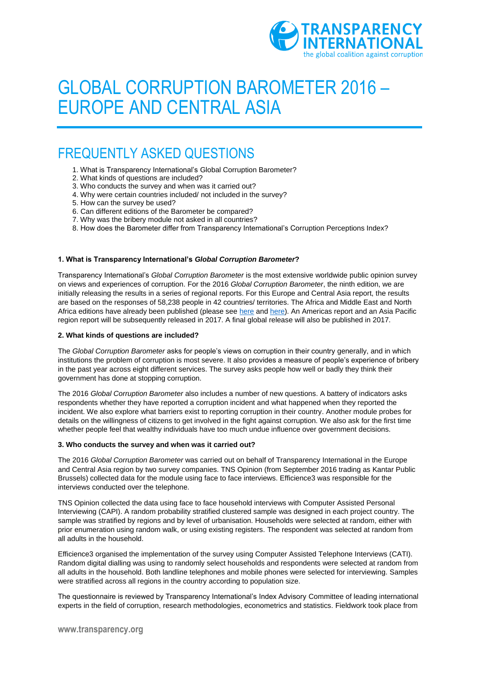

# GLOBAL CORRUPTION BAROMETER 2016 – EUROPE AND CENTRAL ASIA

# FREQUENTLY ASKED QUESTIONS

- 1. What is Transparency International's Global Corruption Barometer?
- 2. What kinds of questions are included?
- 3. Who conducts the survey and when was it carried out?
- 4. Why were certain countries included/ not included in the survey?
- 5. How can the survey be used?
- 6. Can different editions of the Barometer be compared?
- 7. Why was the bribery module not asked in all countries?
- 8. How does the Barometer differ from Transparency International's Corruption Perceptions Index?

# **1. What is Transparency International's** *Global Corruption Barometer***?**

Transparency International's *Global Corruption Barometer* is the most extensive worldwide public opinion survey on views and experiences of corruption. For the 2016 *Global Corruption Barometer*, the ninth edition, we are initially releasing the results in a series of regional reports. For this Europe and Central Asia report, the results are based on the responses of 58,238 people in 42 countries/ territories. The Africa and Middle East and North Africa editions have already been published (please se[e here](http://www.transparency.org/whatwedo/publication/people_and_corruption_africa_survey_2015) an[d here\)](http://www.transparency.org/whatwedo/publication/people_and_corruption_mena_survey_2016). An Americas report and an Asia Pacific region report will be subsequently released in 2017. A final global release will also be published in 2017.

# **2. What kinds of questions are included?**

The *Global Corruption Barometer* asks for people's views on corruption in their country generally, and in which institutions the problem of corruption is most severe. It also provides a measure of people's experience of bribery in the past year across eight different services. The survey asks people how well or badly they think their government has done at stopping corruption.

The 2016 *Global Corruption Barometer* also includes a number of new questions. A battery of indicators asks respondents whether they have reported a corruption incident and what happened when they reported the incident. We also explore what barriers exist to reporting corruption in their country. Another module probes for details on the willingness of citizens to get involved in the fight against corruption. We also ask for the first time whether people feel that wealthy individuals have too much undue influence over government decisions.

## **3. Who conducts the survey and when was it carried out?**

The 2016 *Global Corruption Barometer* was carried out on behalf of Transparency International in the Europe and Central Asia region by two survey companies. TNS Opinion (from September 2016 trading as Kantar Public Brussels) collected data for the module using face to face interviews. Efficience3 was responsible for the interviews conducted over the telephone.

TNS Opinion collected the data using face to face household interviews with Computer Assisted Personal Interviewing (CAPI). A random probability stratified clustered sample was designed in each project country. The sample was stratified by regions and by level of urbanisation. Households were selected at random, either with prior enumeration using random walk, or using existing registers. The respondent was selected at random from all adults in the household.

Efficience3 organised the implementation of the survey using Computer Assisted Telephone Interviews (CATI). Random digital dialling was using to randomly select households and respondents were selected at random from all adults in the household. Both landline telephones and mobile phones were selected for interviewing. Samples were stratified across all regions in the country according to population size.

The questionnaire is reviewed by Transparency International's Index Advisory Committee of leading international experts in the field of corruption, research methodologies, econometrics and statistics. Fieldwork took place from